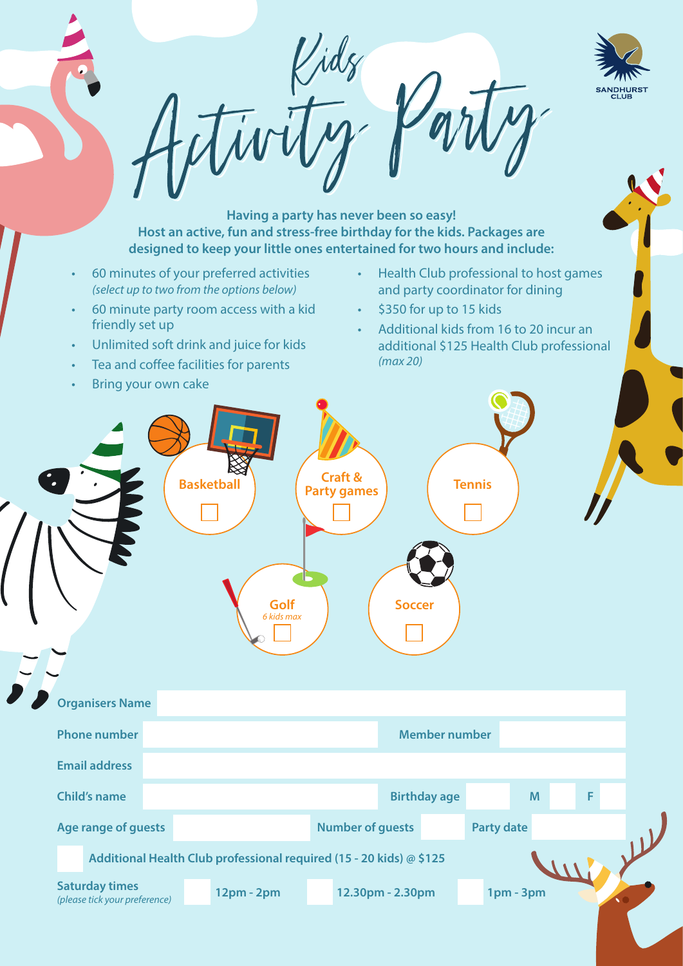

**Having a party has never been so easy! Host an active, fun and stress-free birthday for the kids. Packages are designed to keep your little ones entertained for two hours and include:**

- 60 minutes of your preferred activities *(select up to two from the options below)*
- 60 minute party room access with a kid friendly set up
- Unlimited soft drink and juice for kids
- Tea and coffee facilities for parents
- **Bring your own cake**
- Health Club professional to host games and party coordinator for dining
- \$350 for up to 15 kids
- Additional kids from 16 to 20 incur an additional \$125 Health Club professional *(max 20)*